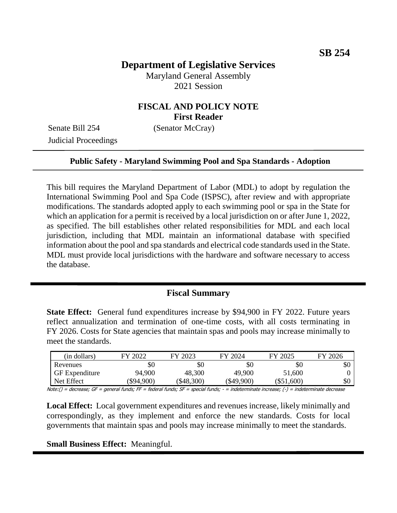# **Department of Legislative Services**

Maryland General Assembly 2021 Session

## **FISCAL AND POLICY NOTE First Reader**

Senate Bill 254 (Senator McCray) Judicial Proceedings

#### **Public Safety - Maryland Swimming Pool and Spa Standards - Adoption**

This bill requires the Maryland Department of Labor (MDL) to adopt by regulation the International Swimming Pool and Spa Code (ISPSC), after review and with appropriate modifications. The standards adopted apply to each swimming pool or spa in the State for which an application for a permit is received by a local jurisdiction on or after June 1, 2022, as specified. The bill establishes other related responsibilities for MDL and each local jurisdiction, including that MDL maintain an informational database with specified information about the pool and spa standards and electrical code standards used in the State. MDL must provide local jurisdictions with the hardware and software necessary to access the database.

### **Fiscal Summary**

**State Effect:** General fund expenditures increase by \$94,900 in FY 2022. Future years reflect annualization and termination of one-time costs, with all costs terminating in FY 2026. Costs for State agencies that maintain spas and pools may increase minimally to meet the standards.

| (in dollars)          | FY 2022   | FY 2023      | FY 2024  | FY 2025      | FY 2026 |
|-----------------------|-----------|--------------|----------|--------------|---------|
| Revenues              | \$0       | \$0          | \$0      | \$0          | эU      |
| <b>GF</b> Expenditure | 94,900    | 48,300       | 49,900   | 51,600       |         |
| Net Effect            | \$94,900) | $(\$48,300)$ | \$49,900 | $(\$51,600)$ | эU      |

Note:() = decrease; GF = general funds; FF = federal funds; SF = special funds; - = indeterminate increase; (-) = indeterminate decrease

**Local Effect:** Local government expenditures and revenues increase, likely minimally and correspondingly, as they implement and enforce the new standards. Costs for local governments that maintain spas and pools may increase minimally to meet the standards.

#### **Small Business Effect:** Meaningful.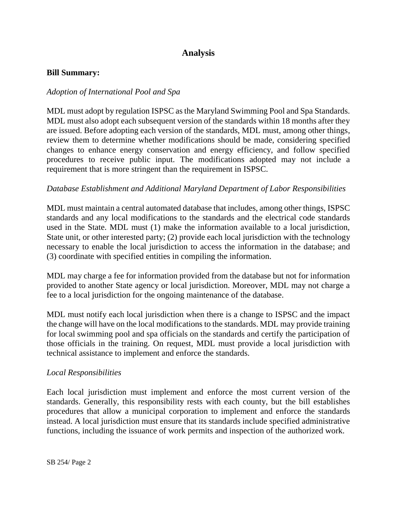# **Analysis**

#### **Bill Summary:**

### *Adoption of International Pool and Spa*

MDL must adopt by regulation ISPSC as the Maryland Swimming Pool and Spa Standards. MDL must also adopt each subsequent version of the standards within 18 months after they are issued. Before adopting each version of the standards, MDL must, among other things, review them to determine whether modifications should be made, considering specified changes to enhance energy conservation and energy efficiency, and follow specified procedures to receive public input. The modifications adopted may not include a requirement that is more stringent than the requirement in ISPSC.

#### *Database Establishment and Additional Maryland Department of Labor Responsibilities*

MDL must maintain a central automated database that includes, among other things, ISPSC standards and any local modifications to the standards and the electrical code standards used in the State. MDL must (1) make the information available to a local jurisdiction, State unit, or other interested party; (2) provide each local jurisdiction with the technology necessary to enable the local jurisdiction to access the information in the database; and (3) coordinate with specified entities in compiling the information.

MDL may charge a fee for information provided from the database but not for information provided to another State agency or local jurisdiction. Moreover, MDL may not charge a fee to a local jurisdiction for the ongoing maintenance of the database.

MDL must notify each local jurisdiction when there is a change to ISPSC and the impact the change will have on the local modifications to the standards. MDL may provide training for local swimming pool and spa officials on the standards and certify the participation of those officials in the training. On request, MDL must provide a local jurisdiction with technical assistance to implement and enforce the standards.

#### *Local Responsibilities*

Each local jurisdiction must implement and enforce the most current version of the standards. Generally, this responsibility rests with each county, but the bill establishes procedures that allow a municipal corporation to implement and enforce the standards instead. A local jurisdiction must ensure that its standards include specified administrative functions, including the issuance of work permits and inspection of the authorized work.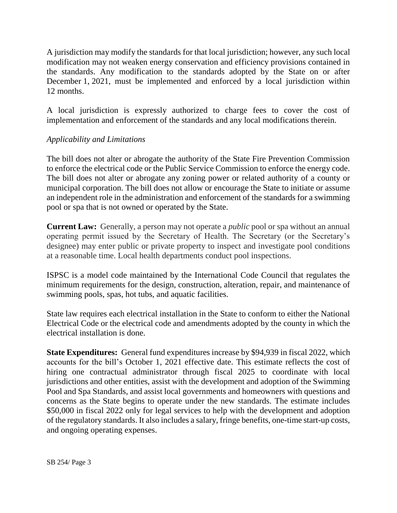A jurisdiction may modify the standards for that local jurisdiction; however, any such local modification may not weaken energy conservation and efficiency provisions contained in the standards. Any modification to the standards adopted by the State on or after December 1, 2021, must be implemented and enforced by a local jurisdiction within 12 months.

A local jurisdiction is expressly authorized to charge fees to cover the cost of implementation and enforcement of the standards and any local modifications therein.

## *Applicability and Limitations*

The bill does not alter or abrogate the authority of the State Fire Prevention Commission to enforce the electrical code or the Public Service Commission to enforce the energy code. The bill does not alter or abrogate any zoning power or related authority of a county or municipal corporation. The bill does not allow or encourage the State to initiate or assume an independent role in the administration and enforcement of the standards for a swimming pool or spa that is not owned or operated by the State.

**Current Law:** Generally, a person may not operate a *public* pool or spa without an annual operating permit issued by the Secretary of Health. The Secretary (or the Secretary's designee) may enter public or private property to inspect and investigate pool conditions at a reasonable time. Local health departments conduct pool inspections.

ISPSC is a model code maintained by the International Code Council that regulates the minimum requirements for the design, construction, alteration, repair, and maintenance of swimming pools, spas, hot tubs, and aquatic facilities.

State law requires each electrical installation in the State to conform to either the National Electrical Code or the electrical code and amendments adopted by the county in which the electrical installation is done.

**State Expenditures:** General fund expenditures increase by \$94,939 in fiscal 2022, which accounts for the bill's October 1, 2021 effective date. This estimate reflects the cost of hiring one contractual administrator through fiscal 2025 to coordinate with local jurisdictions and other entities, assist with the development and adoption of the Swimming Pool and Spa Standards, and assist local governments and homeowners with questions and concerns as the State begins to operate under the new standards. The estimate includes \$50,000 in fiscal 2022 only for legal services to help with the development and adoption of the regulatory standards. It also includes a salary, fringe benefits, one-time start-up costs, and ongoing operating expenses.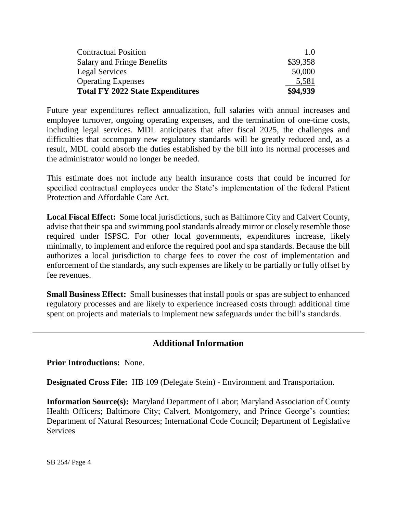| <b>Contractual Position</b>             | 1.0      |
|-----------------------------------------|----------|
| <b>Salary and Fringe Benefits</b>       | \$39,358 |
| <b>Legal Services</b>                   | 50,000   |
| <b>Operating Expenses</b>               | 5.581    |
| <b>Total FY 2022 State Expenditures</b> | \$94,939 |

Future year expenditures reflect annualization, full salaries with annual increases and employee turnover, ongoing operating expenses, and the termination of one-time costs, including legal services. MDL anticipates that after fiscal 2025, the challenges and difficulties that accompany new regulatory standards will be greatly reduced and, as a result, MDL could absorb the duties established by the bill into its normal processes and the administrator would no longer be needed.

This estimate does not include any health insurance costs that could be incurred for specified contractual employees under the State's implementation of the federal Patient Protection and Affordable Care Act.

**Local Fiscal Effect:** Some local jurisdictions, such as Baltimore City and Calvert County, advise that their spa and swimming pool standards already mirror or closely resemble those required under ISPSC. For other local governments, expenditures increase, likely minimally, to implement and enforce the required pool and spa standards. Because the bill authorizes a local jurisdiction to charge fees to cover the cost of implementation and enforcement of the standards, any such expenses are likely to be partially or fully offset by fee revenues.

**Small Business Effect:** Small businesses that install pools or spas are subject to enhanced regulatory processes and are likely to experience increased costs through additional time spent on projects and materials to implement new safeguards under the bill's standards.

## **Additional Information**

**Prior Introductions:** None.

**Designated Cross File:** HB 109 (Delegate Stein) - Environment and Transportation.

**Information Source(s):** Maryland Department of Labor; Maryland Association of County Health Officers; Baltimore City; Calvert, Montgomery, and Prince George's counties; Department of Natural Resources; International Code Council; Department of Legislative **Services**